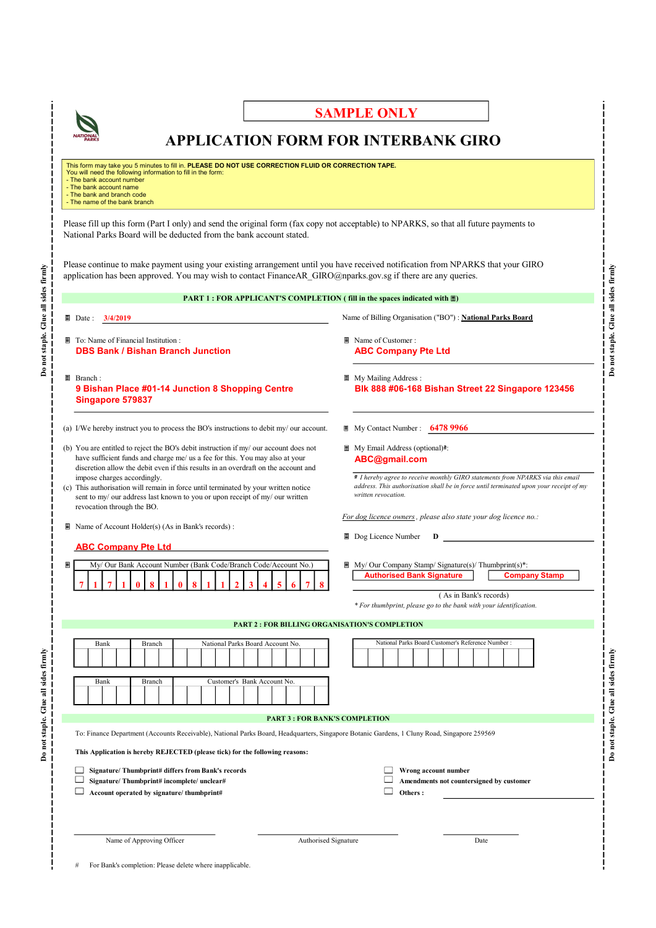

## SAMPLE ONLY

## APPLICATION FORM FOR INTERBANK GIRO

This form may take you 5 minutes to fill in. PLEASE DO NOT USE CORRECTION FLUID OR CORRECTION TAPE.<br>You will need the following information to fill in the form: - The bank account number

- The bank account name - The bank and branch code - The name of the bank branch

Please fill up this form (Part I only) and send the original form (fax copy not acceptable) to NPARKS, so that all future payments to National Parks Board will be deducted from the bank account stated.

Please continue to make payment using your existing arrangement until you have received notification from NPARKS that your GIRO application has been approved. You may wish to contact FinanceAR\_GIRO@nparks.gov.sg if there are any queries.

|                                                                                                                                                                                                                                                                                                                                                                                                                                                                                                 | PART 1 : FOR APPLICANT'S COMPLETION (fill in the spaces indicated with $\blacksquare$ )                                                                                                                                                                      |
|-------------------------------------------------------------------------------------------------------------------------------------------------------------------------------------------------------------------------------------------------------------------------------------------------------------------------------------------------------------------------------------------------------------------------------------------------------------------------------------------------|--------------------------------------------------------------------------------------------------------------------------------------------------------------------------------------------------------------------------------------------------------------|
| Date: $3/4/2019$                                                                                                                                                                                                                                                                                                                                                                                                                                                                                | Name of Billing Organisation ("BO") : National Parks Board                                                                                                                                                                                                   |
| To: Name of Financial Institution :<br><b>DBS Bank / Bishan Branch Junction</b>                                                                                                                                                                                                                                                                                                                                                                                                                 | Name of Customer:<br><b>ABC Company Pte Ltd</b>                                                                                                                                                                                                              |
| Branch:<br>9 Bishan Place #01-14 Junction 8 Shopping Centre<br>Singapore 579837                                                                                                                                                                                                                                                                                                                                                                                                                 | ■ My Mailing Address :<br>Blk 888 #06-168 Bishan Street 22 Singapore 123456                                                                                                                                                                                  |
| (a) I/We hereby instruct you to process the BO's instructions to debit my/ our account.                                                                                                                                                                                                                                                                                                                                                                                                         | $\blacksquare$ My Contact Number : 6478 9966                                                                                                                                                                                                                 |
| (b) You are entitled to reject the BO's debit instruction if my/ our account does not<br>have sufficient funds and charge me/ us a fee for this. You may also at your<br>discretion allow the debit even if this results in an overdraft on the account and<br>impose charges accordingly.<br>(c) This authorisation will remain in force until terminated by your written notice<br>sent to my/ our address last known to you or upon receipt of my/ our written<br>revocation through the BO. | My Email Address (optional) <sup>2</sup> :<br>ABC@gmail.com<br>I hereby agree to receive monthly GIRO statements from NPARKS via this email<br>address. This authorisation shall be in force until terminated upon your receipt of my<br>written revocation. |
| Name of Account Holder(s) (As in Bank's records) :                                                                                                                                                                                                                                                                                                                                                                                                                                              | For dog licence owners, please also state your dog licence no.:                                                                                                                                                                                              |
| <b>ABC Company Pte Ltd</b>                                                                                                                                                                                                                                                                                                                                                                                                                                                                      | <b>D</b> Dog Licence Number $D$                                                                                                                                                                                                                              |
| My/ Our Bank Account Number (Bank Code/Branch Code/Account No.)                                                                                                                                                                                                                                                                                                                                                                                                                                 | ■ My/ Our Company Stamp/ Signature(s)/ Thumbprint(s)*:<br><b>Authorised Bank Signature</b><br><b>Company Stamp</b><br>(As in Bank's records)<br>* For thumbprint, please go to the bank with your identification.                                            |
| <b>PART 2: FOR BILLING ORGANISATION'S COMPLETION</b>                                                                                                                                                                                                                                                                                                                                                                                                                                            |                                                                                                                                                                                                                                                              |
| National Parks Board Account No.<br>Bank<br>Branch                                                                                                                                                                                                                                                                                                                                                                                                                                              | National Parks Board Customer's Reference Number :                                                                                                                                                                                                           |
| Customer's Bank Account No.<br>Bank<br>Branch                                                                                                                                                                                                                                                                                                                                                                                                                                                   |                                                                                                                                                                                                                                                              |
| <b>PART 3 : FOR BANK'S COMPLETION</b>                                                                                                                                                                                                                                                                                                                                                                                                                                                           |                                                                                                                                                                                                                                                              |
| To: Finance Department (Accounts Receivable), National Parks Board, Headquarters, Singapore Botanic Gardens, 1 Cluny Road, Singapore 259569<br>This Application is hereby REJECTED (please tick) for the following reasons:                                                                                                                                                                                                                                                                     |                                                                                                                                                                                                                                                              |
|                                                                                                                                                                                                                                                                                                                                                                                                                                                                                                 |                                                                                                                                                                                                                                                              |